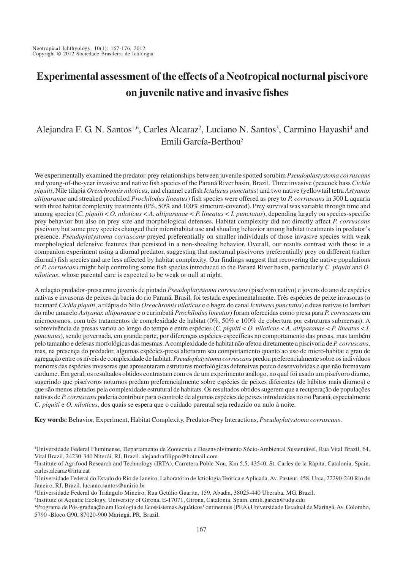# **Experimental assessment of the effects of a Neotropical nocturnal piscivore on juvenile native and invasive fishes**

# Alejandra F. G. N. Santos<sup>1,6</sup>, Carles Alcaraz<sup>2</sup>, Luciano N. Santos<sup>3</sup>, Carmino Hayashi<sup>4</sup> and Emili García-Berthou5

We experimentally examined the predator-prey relationships between juvenile spotted sorubim *Pseudoplastystoma corruscans* and young-of-the-year invasive and native fish species of the Paraná River basin, Brazil. Three invasive (peacock bass *Cichla piquiti*, Nile tilapia *Oreochromis niloticus*, and channel catfish *Ictalurus punctatus*) and two native (yellowtail tetra *Astyanax altiparanae* and streaked prochilod *Prochilodus lineatus*) fish species were offered as prey to *P. corruscans* in 300 L aquaria with three habitat complexity treatments (0%, 50% and 100% structure-covered). Prey survival was variable through time and among species (*C. piquiti* < *O. niloticus < A. altiparanae < P. lineatus < I. punctatus*), depending largely on species-specific prey behavior but also on prey size and morphological defenses. Habitat complexity did not directly affect *P. corruscans* piscivory but some prey species changed their microhabitat use and shoaling behavior among habitat treatments in predator's presence. *Pseudoplatystoma corruscans* preyed preferentially on smaller individuals of those invasive species with weak morphological defensive features that persisted in a non-shoaling behavior. Overall, our results contrast with those in a companion experiment using a diurnal predator, suggesting that nocturnal piscivores preferentially prey on different (rather diurnal) fish species and are less affected by habitat complexity. Our findings suggest that recovering the native populations of *P. corruscans* might help controling some fish species introduced to the Paraná River basin, particularly *C. piquiti* and *O. niloticus*, whose parental care is expected to be weak or null at night.

A relação predador-presa entre juvenis de pintado *Pseudoplatystoma corruscans* (piscívoro nativo) e jovens do ano de espécies nativas e invasoras de peixes da bacia do rio Paraná, Brasil, foi testada experimentalmente. Três espécies de peixe invasoras (o tucunaré *Cichla piquiti*, a tilápia do Nilo *Oreochromis niloticus* e o bagre do canal *Ictalurus punctatus*) e duas nativas (o lambari do rabo amarelo *Astyanax altiparanae* e o curimbatá *Prochilodus lineatus*) foram oferecidas como presa para *P. corruscans* em microcosmos, com três tratamentos de complexidade de habitat (0%, 50% e 100% de cobertura por estruturas submersas). A sobrevivência de presas variou ao longo do tempo e entre espécies (*C. piquiti* < *O. niloticus* < *A. altiparanae* < *P. lineatus* < *I. punctatus*), sendo governada, em grande parte, por diferenças espécies-específicas no comportamento das presas, mas também pelo tamanho e defesas morfológicas das mesmas. A complexidade de habitat não afetou diretamente a piscivoria de *P. corruscans*, mas, na presença do predador, algumas espécies-presa alteraram seu comportamento quanto ao uso de micro-habitat e grau de agregação entre os níveis de complexidade de habitat. *Pseudoplatystoma corruscans* predou preferencialmente sobre os indivíduos menores das espécies invasoras que apresentaram estruturas morfológicas defensivas pouco desenvolvidas e que não formavam cardume. Em geral, os resultados obtidos contrastam com os de um experimento análogo, no qual foi usado um piscívoro diurno, sugerindo que piscívoros noturnos predam preferencialmente sobre espécies de peixes diferentes (de hábitos mais diurnos) e que são menos afetados pela complexidade estrutural de habitats. Os resultados obtidos sugerem que a recuperação de populações nativas de *P. corruscans* poderia contribuir para o controle de algumas espécies de peixes introduzidas no rio Paraná, especialmente *C. piquiti* e *O. niloticus*, dos quais se espera que o cuidado parental seja reduzido ou nulo à noite.

**Key words:** Behavior, Experiment, Habitat Complexity, Predator-Prey Interactions, *Pseudoplatystoma corruscans*.

4 Universidade Federal do Triângulo Mineiro, Rua Getúlio Guarita, 159, Abadia, 38025-440 Uberaba, MG, Brazil.

5 Institute of Aquatic Ecology, University of Girona, E-17071, Girona, Catalonia, Spain. emili.garcia@udg.edu

 6Programa de Pós-graduação em Ecologia de Ecossistemas Aquáticos Continentais (PEA),Universidade Estadual de Maringá, Av. Colombo, 5790 -Bloco G90, 87020-900 Maringá, PR, Brazil.

<sup>1</sup> Universidade Federal Fluminense, Departamento de Zootecnia e Desenvolvimento Sócio-Ambiental Sustentável, Rua Vital Brazil, 64, Vital Brazil, 24230-340 Niterói, RJ, Brazil. alejandrafilippo@hotmail.com

<sup>2</sup> Institute of Agrifood Research and Technology (IRTA), Carretera Poble Nou, Km 5,5, 43540, St. Carles de la Ràpita, Catalonia, Spain. carles.alcaraz@irta.cat

<sup>3</sup> Universidade Federal do Estado do Rio de Janeiro, Laboratório de Ictiologia Teórica e Aplicada, Av. Pasteur, 458, Urca, 22290-240 Rio de Janeiro, RJ, Brazil. luciano.santos@unirio.br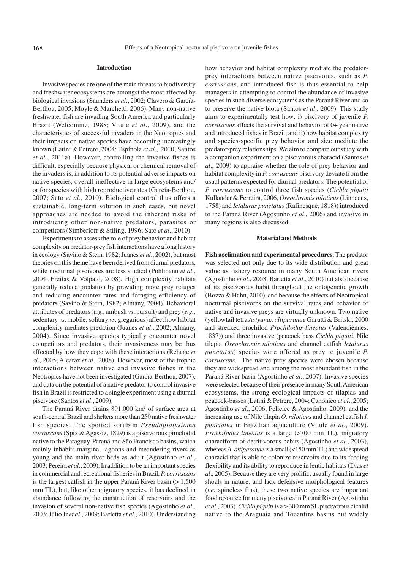#### **Introduction**

Invasive species are one of the main threats to biodiversity and freshwater ecosystems are amongst the most affected by biological invasions (Saunders *et al*., 2002; Clavero & García-Berthou, 2005; Moyle & Marchetti, 2006). Many non-native freshwater fish are invading South America and particularly Brazil (Welcomme, 1988; Vitule *et al*., 2009), and the characteristics of successful invaders in the Neotropics and their impacts on native species have becoming increasingly known (Latini & Petrere, 2004; Espínola *et al*., 2010; Santos *et al*., 2011a). However, controlling the invasive fishes is difficult, especially because physical or chemical removal of the invaders is, in addition to its potential adverse impacts on native species, overall ineffective in large ecosystems and/ or for species with high reproductive rates (García-Berthou, 2007; Sato *et al*., 2010). Biological control thus offers a sustainable, long-term solution in such cases, but novel approaches are needed to avoid the inherent risks of introducing other non-native predators, parasites or competitors (Simberloff & Stiling, 1996; Sato *et al*., 2010).

Experiments to assess the role of prey behavior and habitat complexity on predator-prey fish interactions have a long history in ecology (Savino & Stein, 1982; Juanes *et al*., 2002), but most theories on this theme have been derived from diurnal predators, while nocturnal piscivores are less studied (Pohlmann *et al*., 2004; Freitas & Volpato, 2008). High complexity habitats generally reduce predation by providing more prey refuges and reducing encounter rates and foraging efficiency of predators (Savino & Stein, 1982; Almany, 2004). Behavioral attributes of predators (*e.g.*, ambush *vs*. pursuit) and prey (*e.g.*, sedentary *vs*. mobile; solitary *vs.* gregarious) affect how habitat complexity mediates predation (Juanes *et al*., 2002; Almany, 2004). Since invasive species typically encounter novel competitors and predators, their invasiveness may be thus affected by how they cope with these interactions (Rehage *et al*., 2005; Alcaraz *et al*., 2008). However, most of the trophic interactions between native and invasive fishes in the Neotropics have not been investigated (García-Berthou, 2007), and data on the potential of a native predator to control invasive fish in Brazil is restricted to a single experiment using a diurnal piscivore (Santos *et al*., 2009).

The Paraná River drains 891,000 km<sup>2</sup> of surface area at south-central Brazil and shelters more than 250 native freshwater fish species. The spotted sorubim *Pseudoplatystoma corruscans* (Spix & Agassiz, 1829) is a piscivorous pimelodid native to the Paraguay-Paraná and São Francisco basins, which mainly inhabits marginal lagoons and meandering rivers as young and the main river beds as adult (Agostinho *et al*., 2003; Pereira *et al*., 2009). In addition to be an important species in commercial and recreational fisheries in Brazil, *P. corruscans* is the largest catfish in the upper Paraná River basin  $(>1,500$ mm TL), but, like other migratory species, it has declined in abundance following the construction of reservoirs and the invasion of several non-native fish species (Agostinho *et al*., 2003; Júlio Jr *et al*., 2009; Barletta *et al*., 2010). Understanding how behavior and habitat complexity mediate the predatorprey interactions between native piscivores, such as *P. corruscans*, and introduced fish is thus essential to help managers in attempting to control the abundance of invasive species in such diverse ecosystems as the Paraná River and so to preserve the native biota (Santos *et al*., 2009). This study aims to experimentally test how: i) piscivory of juvenile *P. corruscans* affects the survival and behavior of 0+ year native and introduced fishes in Brazil; and ii) how habitat complexity and species-specific prey behavior and size mediate the predator-prey relationships. We aim to compare our study with a companion experiment on a piscivorous characid (Santos *et al*., 2009) to appraise whether the role of prey behavior and habitat complexity in *P. corruscans* piscivory deviate from the usual patterns expected for diurnal predators. The potential of *P. corruscans* to control three fish species (*Cichla piquiti* Kullander & Ferreira, 2006, *Oreochromis niloticus* (Linnaeus, 1758) and *Ictalurus punctatus* (Rafinesque, 1818)) introduced to the Paraná River (Agostinho *et al*., 2006) and invasive in many regions is also discussed.

#### **Material and Methods**

**Fish acclimation and experimental procedures.** The predator was selected not only due to its wide distribution and great value as fishery resource in many South American rivers (Agostinho *et al*., 2003; Barletta *et al*., 2010) but also because of its piscivorous habit throughout the ontogenetic growth (Bozza & Hahn, 2010), and because the effects of Neotropical nocturnal piscivores on the survival rates and behavior of native and invasive preys are virtually unknown. Two native (yellowtail tetra *Astyanax altiparanae* Garutti & Britski, 2000 and streaked prochilod *Prochilodus lineatus* (Valenciennes, 1837)) and three invasive (peacock bass *Cichla piquiti*, Nile tilapia *Oreochromis niloticus* and channel catfish *Ictalurus punctatus*) species were offered as prey to juvenile *P. corruscans*. The native prey species were chosen because they are widespread and among the most abundant fish in the Paraná River basin (Agostinho *et al*., 2007). Invasive species were selected because of their presence in many South American ecosystems, the strong ecological impacts of tilapias and peacock-basses (Latini & Petrere, 2004; Canonico *et al*., 2005; Agostinho *et al*., 2006; Pelicice & Agostinho, 2009), and the increasing use of Nile tilapia *O. niloticus* and channel catfish *I. punctatus* in Brazilian aquaculture (Vitule *et al*., 2009). *Prochilodus lineatus* is a large (>700 mm TL), migratory characiform of detritivorous habits (Agostinho *et al*., 2003), whereas *A. altiparanae* is a small (<150 mm TL) and widespread characid that is able to colonize reservoirs due to its feeding flexibility and its ability to reproduce in lentic habitats (Dias *et al*., 2005). Because they are very prolific, usually found in large shoals in nature, and lack defensive morphological features (*i.e.* spineless fins), these two native species are important food resource for many piscivores in Paraná River (Agostinho *et al*., 2003). *Cichla piquiti* is a > 300 mm SL piscivorous cichlid native to the Araguaia and Tocantins basins but widely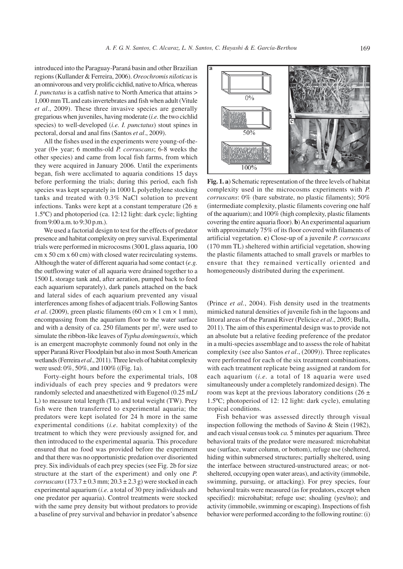introduced into the Paraguay-Paraná basin and other Brazilian regions (Kullander & Ferreira, 2006). *Oreochromis niloticus* is an omnivorous and very prolific cichlid, native to Africa, whereas *I. punctatus* is a catfish native to North America that attains > 1,000 mm TL and eats invertebrates and fish when adult (Vitule *et al*., 2009). These three invasive species are generally gregarious when juveniles, having moderate (*i.e.* the two cichlid species) to well-developed (*i.e. I. punctatus*) stout spines in pectoral, dorsal and anal fins (Santos *et al*., 2009).

All the fishes used in the experiments were young-of-theyear (0+ year; 6 months-old *P. corruscans*; 6-8 weeks the other species) and came from local fish farms, from which they were acquired in January 2006. Until the experiments began, fish were acclimated to aquaria conditions 15 days before performing the trials; during this period, each fish species was kept separately in 1000 L polyethylene stocking tanks and treated with 0.3% NaCl solution to prevent infections. Tanks were kept at a constant temperature  $(26 \pm$ 1.5ºC) and photoperiod (ca. 12:12 light: dark cycle; lighting from 9:00 a.m. to 9:30 p.m.).

We used a factorial design to test for the effects of predator presence and habitat complexity on prey survival. Experimental trials were performed in microcosms (300 L glass aquaria, 100 cm x 50 cm x 60 cm) with closed water recirculating systems. Although the water of different aquaria had some contact (*e.g.* the outflowing water of all aquaria were drained together to a 1500 L storage tank and, after aeration, pumped back to feed each aquarium separately), dark panels attached on the back and lateral sides of each aquarium prevented any visual interferences among fishes of adjacent trials. Following Santos *et al.* (2009), green plastic filaments (60 cm  $\times$  1 cm  $\times$  1 mm), encompassing from the aquarium floor to the water surface and with a density of ca.  $250$  filaments per  $m^2$ , were used to simulate the ribbon-like leaves of *Typha dominguensis*, which is an emergent macrophyte commonly found not only in the upper Paraná River Floodplain but also in most South American wetlands (Ferreira *et al*., 2011). Three levels of habitat complexity were used: 0%, 50%, and 100% ((Fig. 1a).

Forty-eight hours before the experimental trials, 108 individuals of each prey species and 9 predators were randomly selected and anaesthetized with Eugenol (0.25 mL/ L) to measure total length (TL) and total weight (TW). Prey fish were then transferred to experimental aquaria; the predators were kept isolated for 24 h more in the same experimental conditions (*i.e.* habitat complexity) of the treatment to which they were previously assigned for, and then introduced to the experimental aquaria. This procedure ensured that no food was provided before the experiment and that there was no opportunistic predation over disoriented prey. Six individuals of each prey species (see Fig. 2b for size structure at the start of the experiment) and only one *P. corruscans*  $(173.7 \pm 0.3 \text{ mm}; 20.3 \pm 2.3 \text{ g})$  were stocked in each experimental aquarium (*i.e.* a total of 30 prey individuals and one predator per aquaria). Control treatments were stocked with the same prey density but without predators to provide a baseline of prey survival and behavior in predator's absence



**Fig. 1. a**) Schematic representation of the three levels of habitat complexity used in the microcosms experiments with *P. corruscans*: 0% (bare substrate, no plastic filaments); 50% (intermediate complexity, plastic filaments covering one half of the aquarium); and 100% (high complexity, plastic filaments covering the entire aquaria floor). **b**) An experimental aquarium with approximately 75% of its floor covered with filaments of artificial vegetation. **c**) Close-up of a juvenile *P. corruscans* (170 mm TL) sheltered within artificial vegetation, showing the plastic filaments attached to small gravels or marbles to ensure that they remained vertically oriented and homogeneously distributed during the experiment.

(Prince *et al.*, 2004). Fish density used in the treatments mimicked natural densities of juvenile fish in the lagoons and littoral areas of the Paraná River (Pelicice *et al*., 2005; Bulla, 2011). The aim of this experimental design was to provide not an absolute but a relative feeding preference of the predator in a multi-species assemblage and to assess the role of habitat complexity (see also Santos *et al*., (2009)). Three replicates were performed for each of the six treatment combinations, with each treatment replicate being assigned at random for each aquarium (*i.e.* a total of 18 aquaria were used simultaneously under a completely randomized design). The room was kept at the previous laboratory conditions (26  $\pm$ 1.5ºC; photoperiod of 12: 12 light: dark cycle), emulating tropical conditions.

Fish behavior was assessed directly through visual inspection following the methods of Savino & Stein (1982), and each visual census took *ca.* 5 minutes per aquarium. Three behavioral traits of the predator were measured: microhabitat use (surface, water column, or bottom), refuge use (sheltered, hiding within submersed structures; partially sheltered, using the interface between structured-unstructured areas; or notsheltered, occupying open water areas), and activity (immobile, swimming, pursuing, or attacking). For prey species, four behavioral traits were measured (as for predators, except when specified): microhabitat; refuge use; shoaling (yes/no); and activity (immobile, swimming or escaping). Inspections of fish behavior were performed according to the following routine: (i)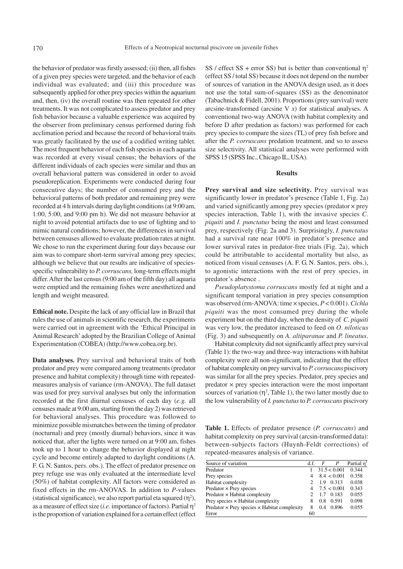the behavior of predator was firstly assessed; (ii) then, all fishes of a given prey species were targeted, and the behavior of each individual was evaluated; and (iii) this procedure was subsequently applied for other prey species within the aquarium and, then, (iv) the overall routine was then repeated for other treatments. It was not complicated to assess predator and prey fish behavior because a valuable experience was acquired by the observer from preliminary census performed during fish acclimation period and because the record of behavioral traits was greatly facilitated by the use of a codified writing tablet. The most frequent behavior of each fish species in each aquaria was recorded at every visual census; the behaviors of the different individuals of each species were similar and thus an overall behavioral pattern was considered in order to avoid pseudoreplication. Experiments were conducted during four consecutive days; the number of consumed prey and the behavioral patterns of both predator and remaining prey were recorded at 4 h intervals during daylight conditions (at 9:00 am, 1:00, 5:00, and 9:00 pm h). We did not measure behavior at night to avoid potential artifacts due to use of lighting and to mimic natural conditions; however, the differences in survival between censuses allowed to evaluate predation rates at night. We chose to run the experiment during four days because our aim was to compare short-term survival among prey species; although we believe that our results are indicative of speciesspecific vulnerability to *P. corruscans,* long-term effects might differ. After the last census (9:00 am of the fifth day) all aquaria were emptied and the remaining fishes were anesthetized and length and weight measured.

**Ethical note.** Despite the lack of any official law in Brazil that rules the use of animals in scientific research, the experiments were carried out in agreement with the 'Ethical Principal in Animal Research' adopted by the Brazilian College of Animal Experimentation (COBEA) (http://www.cobea.org.br).

**Data analyses.** Prey survival and behavioral traits of both predator and prey were compared among treatments (predator presence and habitat complexity) through time with repeatedmeasures analysis of variance (rm-ANOVA). The full dataset was used for prey survival analyses but only the information recorded at the first diurnal censuses of each day (*e.g.* all censuses made at 9:00 am, starting from the day 2) was retrieved for behavioral analyses. This procedure was followed to minimize possible mismatches between the timing of predator (nocturnal) and prey (mostly diurnal) behaviors, since it was noticed that, after the lights were turned on at 9:00 am, fishes took up to 1 hour to change the behavior displayed at night cycle and become entirely adapted to daylight conditions (A. F. G. N. Santos, pers. obs.). The effect of predator presence on prey refuge use was only evaluated at the intermediate level (50%) of habitat complexity. All factors were considered as fixed effects in the rm-ANOVAS. In addition to *P*-values (statistical significance), we also report partial eta squared  $(\eta^2)$ , as a measure of effect size (*i.e.* importance of factors). Partial  $\eta^2$ is the proportion of variation explained for a certain effect (effect

SS / effect SS + error SS) but is better than conventional  $\eta^2$ (effect SS / total SS) because it does not depend on the number of sources of variation in the ANOVA design used, as it does not use the total sum-of-squares (SS) as the denominator (Tabachnick & Fidell, 2001). Proportions (prey survival) were arcsine-transformed (arcsine V *x*) for statistical analyses. A conventional two-way ANOVA (with habitat complexity and before D after predation as factors) was performed for each prey species to compare the sizes (TL) of prey fish before and after the *P. corruscans* predation treatment, and so to assess size selectivity. All statistical analyses were performed with SPSS 15 (SPSS Inc., Chicago IL, USA).

# **Results**

Prey survival and size selectivity. Prey survival was significantly lower in predator's presence (Table 1, Fig. 2a) and varied significantly among prey species (predator × prey species interaction, Table 1), with the invasive species *C. piquiti* and *I. punctatus* being the most and least consumed prey, respectively (Fig. 2a and 3). Surprisingly, *I. punctatus* had a survival rate near 100% in predator's presence and lower survival rates in predator-free trials (Fig. 2a), which could be attributable to accidental mortality but also, as noticed from visual censuses (A. F. G. N. Santos, pers. obs.), to agonistic interactions with the rest of prey species, in predator's absence .

*Pseudoplatystoma corruscans* mostly fed at night and a significant temporal variation in prey species consumption was observed (rm-ANOVA: time × species, *P* < 0.001). *Cichla piquiti* was the most consumed prey during the whole experiment but on the third day, when the density of *C. piquiti* was very low, the predator increased to feed on *O. niloticus* (Fig. 3) and subsequently on *A. altiparanae* and *P. lineatus*.

Habitat complexity did not significantly affect prey survival (Table 1): the two-way and three-way interactions with habitat complexity were all non-significant, indicating that the effect of habitat complexity on prey survival to *P. corruscans* piscivory was similar for all the prey species. Predator, prey species and  $predator \times prey$  species interaction were the most important sources of variation  $(\eta^2)$ , Table 1), the two latter mostly due to the low vulnerability of *I. punctatus* to *P. corruscans* piscivory

**Table 1.** Effects of predator presence (*P. corruscans*) and habitat complexity on prey survival (arcsin-transformed data): between-subjects factors (Huynh-Feldt corrections) of repeated-measures analysis of variance.

| Source of variation                                        | d.f. | F   | $\boldsymbol{P}$ | Partial $\overline{\eta^2}$ |
|------------------------------------------------------------|------|-----|------------------|-----------------------------|
| Predator                                                   |      |     | 31.5 < 0.001     | 0.344                       |
| Prey species                                               |      |     | 8.4 < 0.001      | 0.358                       |
| Habitat complexity                                         |      | 1.9 | 0.313            | 0.038                       |
| Predator $\times$ Prey species                             | 4    |     | 7.5 < 0.001      | 0.343                       |
| Predator $\times$ Habitat complexity                       |      | 1.7 | 0.183            | 0.055                       |
| Prey species $\times$ Habitat complexity                   | 8    | 0.8 | 0.591            | 0.098                       |
| Predator $\times$ Prey species $\times$ Habitat complexity | 8    | 0.4 | 0.896            | 0.055                       |
| Error                                                      | 60   |     |                  |                             |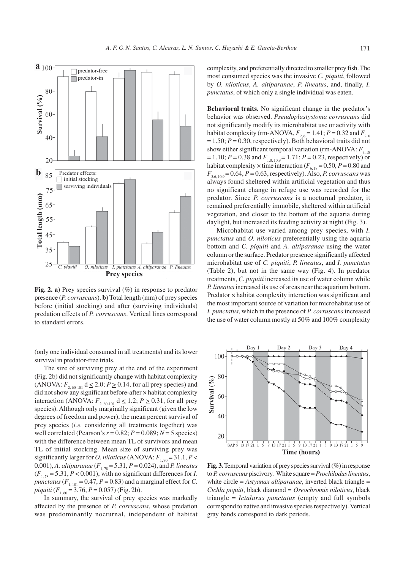$a_{100}$  $\Box$ predator-free  $\Box$ predator-in 80 Survival  $(°<sub>0</sub>)$ 60 40  $20$  $\mathbf b$ Predator effects: 85  $\Box$  initial stocking  $\Box$  surviving individuals 75 Total length (mm) 65 55 45 35 25 O. niloticus I. punctatus A. altiparanae P. lineatus C. piquiti **Prey species** 

**Fig. 2. a**) Prey species survival (%) in response to predator presence (*P. corruscans*). **b**) Total length (mm) of prey species before (initial stocking) and after (surviving individuals) predation effects of *P. corruscans*. Vertical lines correspond to standard errors.

(only one individual consumed in all treatments) and its lower survival in predator-free trials.

The size of surviving prey at the end of the experiment (Fig. 2b) did not significantly change with habitat complexity (ANOVA:  $F_{2,60-101}$  d  $\leq 2.0$ ;  $P \geq 0.14$ , for all prey species) and did not show any significant before-after × habitat complexity interaction (ANOVA:  $F_{2,60-101}$  d  $\leq 1.2$ ;  $P \geq 0.31$ , for all prey species). Although only marginally significant (given the low degrees of freedom and power), the mean percent survival of prey species (*i.e.* considering all treatments together) was well correlated (Pearson's  $r = 0.82$ ;  $P = 0.089$ ;  $N = 5$  species) with the difference between mean TL of survivors and mean TL of initial stocking. Mean size of surviving prey was significantly larger for *O. niloticus* (ANOVA:  $F_{1,70} = 31.1, P <$ 0.001), *A. altiparanae* (*F*1, 78 = 5.31, *P* = 0.024), and *P. lineatus*  $(F_{1.78} = 5.31, P < 0.001)$ , with no significant differences for *I*. *punctatus* ( $F_{1, 101} = 0.47$ ,  $P = 0.83$ ) and a marginal effect for *C*. *piquiti*  $(F_{1, 60} = 3.76, P = 0.057)$  (Fig. 2b).

In summary, the survival of prey species was markedly affected by the presence of *P. corruscans*, whose predation was predominantly nocturnal, independent of habitat complexity, and preferentially directed to smaller prey fish. The most consumed species was the invasive *C. piquiti*, followed by *O. niloticus*, *A. altiparanae*, *P. lineatus*, and, finally, *I. punctatus*, of which only a single individual was eaten.

**Behavioral traits.** No significant change in the predator's behavior was observed. *Pseudoplastystoma corruscans* did not significantly modify its microhabitat use or activity with habitat complexity (rm-ANOVA,  $F_{2,6} = 1.41$ ;  $P = 0.32$  and  $F_{2,6}$  $= 1.50; P = 0.30$ , respectively). Both behavioral traits did not show either significant temporal variation (rm-ANOVA:  $F_{3,18}$ )  $= 1.10; P = 0.38$  and  $F_{1.8, 10.9} = 1.71; P = 0.23$ , respectively) or habitat complexity  $\times$  time interaction ( $F_{6, 18} = 0.50$ ,  $P = 0.80$  and  $F_{3.6, 10.9} = 0.64, P = 0.63$ , respectively). Also, *P. corruscans* was always found sheltered within artificial vegetation and thus no significant change in refuge use was recorded for the predator. Since *P. corruscans* is a nocturnal predator, it remained preferentially immobile, sheltered within artificial vegetation, and closer to the bottom of the aquaria during daylight, but increased its feeding activity at night (Fig. 3).

Microhabitat use varied among prey species, with *I. punctatus* and *O. niloticus* preferentially using the aquaria bottom and *C. piquiti* and *A. altiparanae* using the water column or the surface. Predator presence significantly affected microhabitat use of *C. piquiti*, *P. lineatus*, and *I. punctatus* (Table 2), but not in the same way (Fig. 4). In predator treatments, *C. piquiti* increased its use of water column while *P. lineatus* increased its use of areas near the aquarium bottom. Predator × habitat complexity interaction was significant and the most important source of variation for microhabitat use of *I. punctatus*, which in the presence of *P. corruscans* increased the use of water column mostly at 50% and 100% complexity



**Fig. 3.** Temporal variation of prey species survival (%) in response to *P. corruscans* piscivory. White square = *Prochilodus lineatus*, white circle = *Astyanax altiparanae*, inverted black triangle = *Cichla piquiti*, black diamond = *Oreochromis niloticus*, black triangle = *Ictalurus punctatus* (empty and full symbols correspond to native and invasive species respectively). Vertical gray bands correspond to dark periods.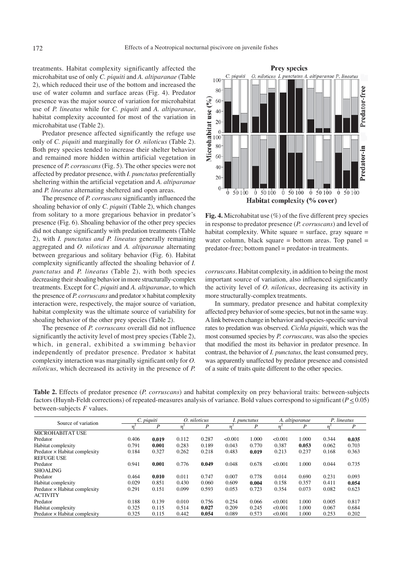treatments. Habitat complexity significantly affected the microhabitat use of only *C. piquiti* and *A. altiparanae* (Table 2), which reduced their use of the bottom and increased the use of water column and surface areas (Fig. 4). Predator presence was the major source of variation for microhabitat use of *P. lineatus* while for *C. piquiti* and *A. altiparanae*, habitat complexity accounted for most of the variation in microhabitat use (Table 2).

Predator presence affected significantly the refuge use only of *C. piquiti* and marginally for *O. niloticus* (Table 2). Both prey species tended to increase their shelter behavior and remained more hidden within artificial vegetation in presence of *P. corruscans* (Fig. 5). The other species were not affected by predator presence, with *I. punctatus* preferentially sheltering within the artificial vegetation and *A. altiparanae* and *P. lineatus* alternating sheltered and open areas.

The presence of *P. corruscans* significantly influenced the shoaling behavior of only *C. piquiti* (Table 2), which changes from solitary to a more gregarious behavior in predator's presence (Fig. 6). Shoaling behavior of the other prey species did not change significantly with predation treatments (Table 2), with *I. punctatus and P. lineatus* generally remaining aggregated and *O. niloticus* and *A. altiparanae* alternating between gregarious and solitary behavior (Fig. 6). Habitat complexity significantly affected the shoaling behavior of *I. punctatus* and *P. lineatus* (Table 2), with both species decreasing their shoaling behavior in more structurally-complex treatments. Except for *C. piquiti* and *A. altiparanae*, to which the presence of *P. corruscans* and predator × habitat complexity interaction were, respectively, the major source of variation, habitat complexity was the ultimate source of variability for shoaling behavior of the other prey species (Table 2).

The presence of *P. corruscans* overall did not influence significantly the activity level of most prey species (Table 2), which, in general, exhibited a swimming behavior independently of predator presence. Predator  $\times$  habitat complexity interaction was marginally significant only for *O. niloticus*, which decreased its activity in the presence of *P.*



**Fig. 4.** Microhabitat use (%) of the five different prey species in response to predator presence (*P. corruscans*) and level of habitat complexity. White square = surface, gray square = water column, black square  $=$  bottom areas. Top panel  $=$ predator-free; bottom panel = predator-in treatments.

*corruscans*. Habitat complexity, in addition to being the most important source of variation, also influenced significantly the activity level of *O. niloticus*, decreasing its activity in more structurally-complex treatments.

In summary, predator presence and habitat complexity affected prey behavior of some species, but not in the same way. A link between change in behavior and species-specific survival rates to predation was observed. *Cichla piquiti*, which was the most consumed species by *P. corruscans*, was also the species that modified the most its behavior in predator presence. In contrast, the behavior of *I. punctatus*, the least consumed prey, was apparently unaffected by predator presence and consisted of a suite of traits quite different to the other species.

**Table 2.** Effects of predator presence (*P. corruscans*) and habitat complexity on prey behavioral traits: between-subjects factors (Huynh-Feldt corrections) of repeated-measures analysis of variance. Bold values correspond to significant ( $P \le 0.05$ ) between-subjects *F* values.

| Source of variation           | C. piquiti |       | O. niloticus |       | I. punctatus |       | A. altiparanae |       | P. lineatus |       |
|-------------------------------|------------|-------|--------------|-------|--------------|-------|----------------|-------|-------------|-------|
|                               |            | P     |              | P     | 'n           | P     | 'n             | P     | 'n          | P     |
| <b>MICROHABITAT USE</b>       |            |       |              |       |              |       |                |       |             |       |
| Predator                      | 0.406      | 0.019 | 0.112        | 0.287 | < 0.001      | 1.000 | <0.001         | 1.000 | 0.344       | 0.035 |
| Habitat complexity            | 0.791      | 0.001 | 0.283        | 0.189 | 0.043        | 0.770 | 0.387          | 0.053 | 0.062       | 0.703 |
| Predator × Habitat complexity | 0.184      | 0.327 | 0.262        | 0.218 | 0.483        | 0.019 | 0.213          | 0.237 | 0.168       | 0.363 |
| <b>REFUGE USE</b>             |            |       |              |       |              |       |                |       |             |       |
| Predator                      | 0.941      | 0.001 | 0.776        | 0.049 | 0.048        | 0.678 | < 0.001        | 1.000 | 0.044       | 0.735 |
| <b>SHOALING</b>               |            |       |              |       |              |       |                |       |             |       |
| Predator                      | 0.464      | 0.010 | 0.011        | 0.747 | 0.007        | 0.778 | 0.014          | 0.690 | 0.231       | 0.093 |
| Habitat complexity            | 0.029      | 0.851 | 0.430        | 0.060 | 0.609        | 0.004 | 0.158          | 0.357 | 0.411       | 0.054 |
| Predator × Habitat complexity | 0.291      | 0.151 | 0.099        | 0.593 | 0.053        | 0.723 | 0.354          | 0.073 | 0.082       | 0.623 |
| <b>ACTIVITY</b>               |            |       |              |       |              |       |                |       |             |       |
| Predator                      | 0.188      | 0.139 | 0.010        | 0.756 | 0.254        | 0.066 | < 0.001        | 1.000 | 0.005       | 0.817 |
| Habitat complexity            | 0.325      | 0.115 | 0.514        | 0.027 | 0.209        | 0.245 | < 0.001        | 1.000 | 0.067       | 0.684 |
| Predator × Habitat complexity | 0.325      | 0.115 | 0.442        | 0.054 | 0.089        | 0.573 | < 0.001        | 1.000 | 0.253       | 0.202 |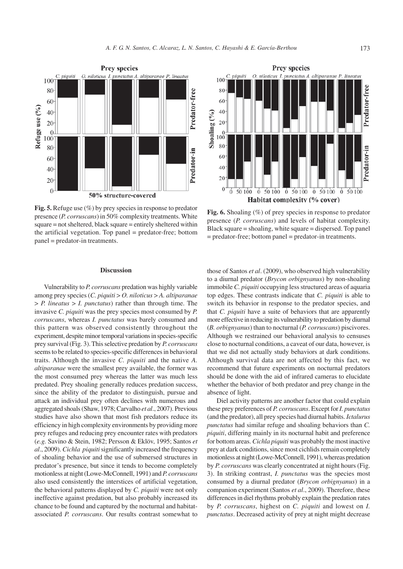

**Fig. 5.** Refuge use (%) by prey species in response to predator presence (*P. corruscans*) in 50% complexity treatments. White square = not sheltered, black square = entirely sheltered within the artificial vegetation. Top panel = predator-free; bottom panel = predator-in treatments.

### **Discussion**

Vulnerability to *P. corruscans* predation was highly variable among prey species (*C. piquiti* > *O. niloticus* > *A. altiparanae* > *P. lineatus* > *I. punctatus*) rather than through time. The invasive *C. piquiti* was the prey species most consumed by *P. corruscans*, whereas *I. punctatus* was barely consumed and this pattern was observed consistently throughout the experiment, despite minor temporal variations in species-specific prey survival (Fig. 3). This selective predation by *P. corruscans* seems to be related to species-specific differences in behavioral traits. Although the invasive *C. piquiti* and the native *A. altiparanae* were the smallest prey available, the former was the most consumed prey whereas the latter was much less predated. Prey shoaling generally reduces predation success, since the ability of the predator to distinguish, pursue and attack an individual prey often declines with numerous and aggregated shoals (Shaw, 1978; Carvalho *et al*., 2007). Previous studies have also shown that most fish predators reduce its efficiency in high complexity environments by providing more prey refuges and reducing prey encounter rates with predators (*e.g.* Savino & Stein, 1982; Persson & Eklöv, 1995; Santos *et al*., 2009). *Cichla piquiti* significantly increased the frequency of shoaling behavior and the use of submersed structures in predator's presence, but since it tends to become completely motionless at night (Lowe-McConnell, 1991) and *P. corruscans* also used consistently the interstices of artificial vegetation, the behavioral patterns displayed by *C. piquiti* were not only ineffective against predation, but also probably increased its chance to be found and captured by the nocturnal and habitatassociated *P. corruscans*. Our results contrast somewhat to



Fig. 6. Shoaling  $(\%)$  of prey species in response to predator presence (*P. corruscans*) and levels of habitat complexity. Black square = shoaling, white square = dispersed. Top panel = predator-free; bottom panel = predator-in treatments.

those of Santos *et al*. (2009), who observed high vulnerability to a diurnal predator (*Brycon orbignyanus*) by non-shoaling immobile *C. piquiti* occupying less structured areas of aquaria top edges. These contrasts indicate that *C. piquiti* is able to switch its behavior in response to the predator species, and that *C. piquiti* have a suite of behaviors that are apparently more effective in reducing its vulnerability to predation by diurnal (*B. orbignyanus*) than to nocturnal (*P. corruscans*) piscivores. Although we restrained our behavioral analysis to censuses close to nocturnal conditions, a caveat of our data, however, is that we did not actually study behaviors at dark conditions. Although survival data are not affected by this fact, we recommend that future experiments on nocturnal predators should be done with the aid of infrared cameras to elucidate whether the behavior of both predator and prey change in the absence of light.

Diel activity patterns are another factor that could explain these prey preferences of *P. corruscans*. Except for *I. punctatus* (and the predator), all prey species had diurnal habits. *Ictalurus punctatus* had similar refuge and shoaling behaviors than *C. piquiti*, differing mainly in its nocturnal habit and preference for bottom areas. *Cichla piquiti* was probably the most inactive prey at dark conditions, since most cichlids remain completely motionless at night (Lowe-McConnell, 1991), whereas predation by *P. corruscans* was clearly concentrated at night hours (Fig. 3). In striking contrast, *I. punctatus* was the species most consumed by a diurnal predator (*Brycon orbignyanus*) in a companion experiment (Santos *et al*., 2009). Therefore, these differences in diel rhythms probably explain the predation rates by *P. corruscans*, highest on *C. piquiti* and lowest on *I. punctatus*. Decreased activity of prey at night might decrease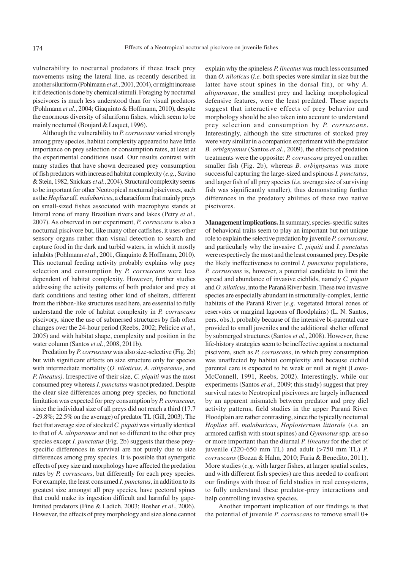vulnerability to nocturnal predators if these track prey movements using the lateral line, as recently described in another siluriform (Pohlmann *et al*., 2001, 2004), or might increase it if detection is done by chemical stimuli. Foraging by nocturnal piscivores is much less understood than for visual predators (Pohlmann *et al*., 2004; Giaquinto & Hoffmann, 2010), despite the enormous diversity of siluriform fishes, which seem to be mainly nocturnal (Boujard & Luquet, 1996).

Although the vulnerability to *P. corruscans* varied strongly among prey species, habitat complexity appeared to have little importance on prey selection or consumption rates, at least at the experimental conditions used. Our results contrast with many studies that have shown decreased prey consumption of fish predators with increased habitat complexity (*e.g.*, Savino & Stein, 1982, Snickars *et al*., 2004). Structural complexity seems to be important for other Neotropical nocturnal piscivores, such as the *Hoplias* aff. *malabaricus*, a characiform that mainly preys on small-sized fishes associated with macrophyte stands at littoral zone of many Brazilian rivers and lakes (Petry *et al*., 2007). As observed in our experiment, *P. corruscans* is also a nocturnal piscivore but, like many other catfishes, it uses other sensory organs rather than visual detection to search and capture food in the dark and turbid waters, in which it mostly inhabits (Pohlmann *et al*., 2001, Giaquinto & Hoffmann, 2010). This nocturnal feeding activity probably explains why prey selection and consumption by *P. corruscans* were less dependent of habitat complexity. However, further studies addressing the activity patterns of both predator and prey at dark conditions and testing other kind of shelters, different from the ribbon-like structures used here, are essential to fully understand the role of habitat complexity in *P. corruscans* piscivory, since the use of submersed structures by fish often changes over the 24-hour period (Reebs, 2002; Pelicice *et al*., 2005) and with habitat shape, complexity and position in the water column (Santos *et al*., 2008, 2011b).

Predation by *P. corruscans* was also size-selective (Fig. 2b) but with significant effects on size structure only for species with intermediate mortality (*O. niloticus*, *A. altiparanae*, and *P. lineatus)*. Irrespective of their size, *C. piquiti* was the most consumed prey whereas *I. punctatus* was not predated. Despite the clear size differences among prey species, no functional limitation was expected for prey consumption by *P. corruscans*, since the individual size of all preys did not reach a third (17.7 - 29.8%; 22.5% on the average) of predator TL (Gill, 2003). The fact that average size of stocked *C. piquiti* was virtually identical to that of *A. altiparanae* and not so different to the other prey species except *I. punctatus* (Fig. 2b) suggests that these preyspecific differences in survival are not purely due to size differences among prey species. It is possible that synergetic effects of prey size and morphology have affected the predation rates by *P. corruscans*, but differently for each prey species. For example, the least consumed *I. punctatus*, in addition to its greatest size amongst all prey species, have pectoral spines that could make its ingestion difficult and harmful by gapelimited predators (Fine & Ladich, 2003; Bosher *et al*., 2006). However, the effects of prey morphology and size alone cannot explain why the spineless *P. lineatus* was much less consumed than *O. niloticus* (*i.e.* both species were similar in size but the latter have stout spines in the dorsal fin), or why *A. altiparanae*, the smallest prey and lacking morphological defensive features, were the least predated. These aspects suggest that interactive effects of prey behavior and morphology should be also taken into account to understand prey selection and consumption by *P. corruscans*. Interestingly, although the size structures of stocked prey were very similar in a companion experiment with the predator *B. orbignyanus* (Santos *et al*., 2009), the effects of predation treatments were the opposite: *P. corruscans* preyed on rather smaller fish (Fig. 2b), whereas *B. orbignyanus* was more successful capturing the large-sized and spinous *I. punctatus*, and larger fish of all prey species (*i.e.* average size of surviving fish was significantly smaller), thus demonstrating further differences in the predatory abilities of these two native piscivores.

**Management implications.** In summary, species-specific suites of behavioral traits seem to play an important but not unique role to explain the selective predation by juvenile *P. corruscans*, and particularly why the invasive *C. piquiti* and *I. punctatus* were respectively the most and the least consumed prey. Despite the likely ineffectiveness to control *I. punctatus* populations, *P. corruscans* is, however, a potential candidate to limit the spread and abundance of invasive cichlids, namely *C. piquiti* and *O. niloticus*, into the Paraná River basin. These two invasive species are especially abundant in structurally-complex, lentic habitats of the Paraná River (*e.g.* vegetated littoral zones of reservoirs or marginal lagoons of floodplains) (L. N. Santos, pers. obs.), probably because of the intensive bi-parental care provided to small juveniles and the additional shelter offered by submerged structures (Santos *et al*., 2008). However, these life-history strategies seem to be ineffective against a nocturnal piscivore, such as *P. corruscans*, in which prey consumption was unaffected by habitat complexity and because cichlid parental care is expected to be weak or null at night (Lowe-McConnell, 1991, Reebs, 2002). Interestingly, while our experiments (Santos *et al*., 2009; this study) suggest that prey survival rates to Neotropical piscivores are largely influenced by an apparent mismatch between predator and prey diel activity patterns, field studies in the upper Paraná River Floodplain are rather contrasting, since the typically nocturnal *Hoplias* aff. *malabaricus*, *Hoplosternum littorale* (*i.e.* an armored catfish with stout spines) and *Gymnotus* spp. are so or more important than the diurnal *P. lineatus* for the diet of iuvenile  $(220-650 \text{ mm} \text{ TL})$  and adult  $(>750 \text{ mm} \text{ TL})$  *P. corruscans* (Bozza & Hahn, 2010; Faria & Benedito, 2011). More studies (*e.g.* with larger fishes, at larger spatial scales, and with different fish species) are thus needed to confront our findings with those of field studies in real ecosystems, to fully understand these predator-prey interactions and help controlling invasive species.

 Another important implication of our findings is that the potential of juvenile *P. corruscans* to remove small 0+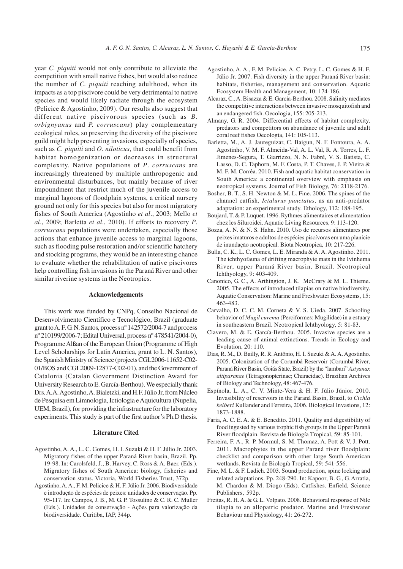year *C. piquiti* would not only contribute to alleviate the competition with small native fishes, but would also reduce the number of *C. piquiti* reaching adulthood, when its impacts as a top piscivore could be very detrimental to native species and would likely radiate through the ecosystem (Pelicice & Agostinho, 2009). Our results also suggest that different native piscivorous species (such as *B. orbignyanus* and *P. corruscans*) play complementary ecological roles, so preserving the diversity of the piscivore guild might help preventing invasions, especially of species, such as *C. piquiti* and *O. niloticus*, that could benefit from habitat homogenization or decreases in structural complexity. Native populations of *P*. *corruscans* are increasingly threatened by multiple anthropogenic and environmental disturbances, but mainly because of river impoundment that restrict much of the juvenile access to marginal lagoons of floodplain systems, a critical nursery ground not only for this species but also for most migratory fishes of South America (Agostinho *et al*., 2003; Mello *et al*., 2009; Barletta *et al*., 2010). If efforts to recovery *P*. *corruscans* populations were undertaken, especially those actions that enhance juvenile access to marginal lagoons, such as flooding pulse restoration and/or scientific hatchery and stocking programs, they would be an interesting chance to evaluate whether the rehabilitation of native piscivores help controlling fish invasions in the Paraná River and other similar riverine systems in the Neotropics.

## **Acknowledgements**

This work was funded by CNPq, Conselho Nacional de Desenvolvimento Científico e Tecnológico, Brazil (graduate grant to A. F. G. N. Santos, process nº 142572/2004-7 and process nº 210199/2006-7; Edital Universal, process nº 478541/2004-0), Programme Alßan of the European Union (Programme of High Level Scholarships for Latin America, grant to L. N. Santos), the Spanish Ministry of Science (projects CGL2006-11652-C02- 01/BOS and CGL2009-12877-C02-01), and the Government of Catalonia (Catalan Government Distinction Award for University Research to E. García-Berthou). We especially thank Drs. A.A. Agostinho, A. Bialetzki, and H.F. Júlio Jr, from Núcleo de Pesquisa em Limnologia, Ictiologia e Aquicultura (Nupelia, UEM, Brazil), for providing the infrastructure for the laboratory experiments. This study is part of the first author's Ph.D thesis.

# **Literature Cited**

- Agostinho, A. A., L. C. Gomes, H. I. Suzuki & H. F. Júlio Jr. 2003. Migratory fishes of the upper Paraná River basin, Brazil. Pp. 19-98. In: Carolsfeld, J., B. Harvey, C. Ross & A. Baer. (Eds.). Migratory fishes of South America: biology, fisheries and conservation status. Victoria, World Fisheries Trust, 372p.
- Agostinho, A. A., F. M. Pelicice & H. F. Júlio Jr. 2006. Biodiversidade e introdução de espécies de peixes: unidades de conservação. Pp. 95-117. In: Campos, J. B., M. G. P. Tossulino & C. R. C. Muller (Eds.). Unidades de conservação - Ações para valorização da biodiversidade. Curitiba, IAP, 344p.
- Agostinho, A. A., F. M. Pelicice, A. C. Petry, L. C. Gomes & H. F. Júlio Jr. 2007. Fish diversity in the upper Paraná River basin: habitats, fisheries, management and conservation. Aquatic Ecosystem Health and Management, 10: 174-186.
- Alcaraz, C., A. Bisazza & E. García-Berthou. 2008. Salinity mediates the competitive interactions between invasive mosquitofish and an endangered fish. Oecologia, 155: 205-213.
- Almany, G. R. 2004. Differential effects of habitat complexity, predators and competitors on abundance of juvenile and adult coral reef fishes Oecologia, 141: 105-113.
- Barletta, M., A. J. Jaureguizar, C. Baigun, N. F. Fontoura, A. A. Agostinho, V. M. F. Almeida-Val, A. L. Val, R. A. Torres, L. F. Jimenes-Segura, T. Giarrizzo, N. N. Fabré, V. S. Batista, C. Lasso, D. C. Taphorn, M. F. Costa, P. T. Chaves, J. P. Vieira & M. F. M. Corrêa. 2010. Fish and aquatic habitat conservation in South America: a continental overview with emphasis on neotropical systems. Journal of Fish Biology, 76: 2118-2176.
- Bosher, B. T., S. H. Newton & M. L. Fine. 2006. The spines of the channel catfish, *Ictalurus punctatus*, as an anti-predator adaptation: an experimental study. Ethology, 112: 188-195.
- Boujard, T. & P. Luquet. 1996. Rythmes alimentaires et alimentation chez les Siluroidei. Aquatic Living Resources, 9: 113-120.
- Bozza, A. N. & N. S. Hahn. 2010. Uso de recursos alimentares por peixes imaturos e adultos de espécies piscívoras em uma planície de inundação neotropical. Biota Neotropica, 10: 217-226.
- Bulla, C. K., L. C. Gomes, L. E. Miranda & A. A. Agostinho. 2011. The ichthyofauna of drifting macrophyte mats in the Ivinhema River, upper Paraná River basin, Brazil. Neotropical Ichthyology, 9: 403-409.
- Canonico, G. C., A. Arthington, J. K. McCrary & M. L. Thieme. 2005. The effects of introduced tilapias on native biodiversity. Aquatic Conservation: Marine and Freshwater Ecosystems, 15: 463-483.
- Carvalho, D. C. C. M. Corneta & V. S. Uieda. 2007. Schooling behavior of *Mugil curema* (Perciformes: Mugilidae) in a estuary in southeastern Brazil. Neotropical Ichthyology, 5: 81-83.
- Clavero, M. & E. García-Berthou. 2005. Invasive species are a leading cause of animal extinctions. Trends in Ecology and Evolution, 20: 110.
- Dias, R. M., D. Bailly, R. R. Antônio, H. I. Suzuki & A. A. Agostinho. 2005. Colonization of the Corumbá Reservoir (Corumbá River, Paraná River Basin, Goiás State, Brazil) by the "lambari" *Astyanax altiparanae* (Tetragonopterinae; Characidae). Brazilian Archives of Biology and Technology, 48: 467-476.
- Espínola, L. A., C. V. Minte-Vera & H. F. Júlio Júnior. 2010. Invasibility of reservoirs in the Paraná Basin, Brazil, to *Cichla kelberi* Kullander and Ferreira, 2006. Biological Invasions, 12: 1873-1888.
- Faria, A. C. E. A. & E. Benedito. 2011. Quality and digestibility of food ingested by various trophic fish groups in the Upper Paraná River floodplain. Revista de Biología Tropical, 59: 85-101.
- Ferreira, F. A., R. P. Mormul, S. M. Thomaz, A. Pott & V. J. Pott. 2011. Macrophytes in the upper Paraná river floodplain: checklist and comparison with other large South American wetlands. Revista de Biología Tropical, 59: 541-556.
- Fine, M. L. & F. Ladich. 2003. Sound production, spine locking and related adaptations. Pp. 248-290. In: Kapoor, B. G., G. Arratia, M. Chardon & M. Diogo (Eds). Catfishes. Enfield, Science Publishers, 592p.
- Freitas, R. H. A. & G. L. Volpato. 2008. Behavioral response of Nile tilapia to an allopatric predator. Marine and Freshwater Behaviour and Physiology, 41: 26-272.